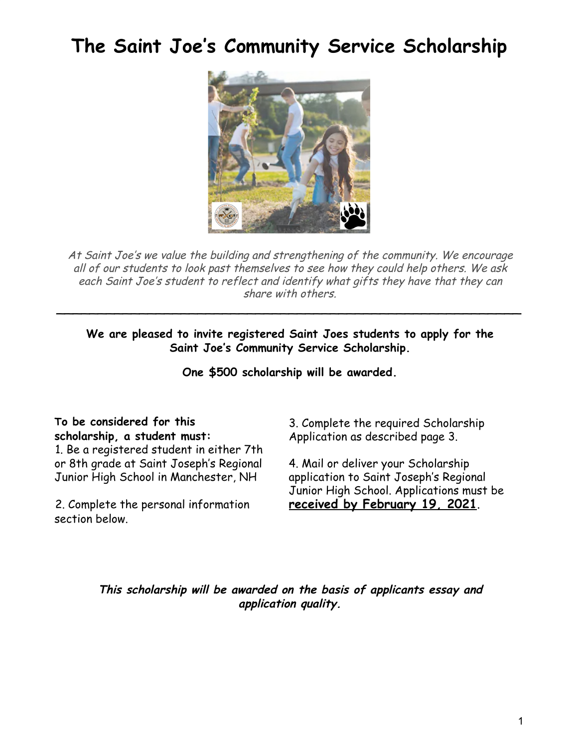# **The Saint Joe ' s Community Service Scholarship**



At Saint Joe's we value the building and strengthening of the community. We encourage all of our students to look past themselves to see how they could help others. We ask each Saint Joe's student to reflect and identify what gifts they have that they can share with others.

**We are pleased to invite registered Saint Joes students to apply for the Saint Joe's Community Service Scholarship.**

\_\_\_\_\_\_\_\_\_\_\_\_\_\_\_\_\_\_\_\_\_\_\_\_\_\_\_\_\_\_\_\_\_\_\_\_\_\_\_\_\_\_\_\_\_\_\_\_\_\_\_\_\_\_\_\_

**One \$500 scholarship will be awarded.**

#### **To be considered for this scholarship, a student must:**

1. Be a registered student in either 7th or 8th grade at Saint Joseph's Regional Junior High School in Manchester, NH

2. Complete the personal information section below.

3. Complete the required Scholarship Application as described page 3.

4. Mail or deliver your Scholarship application to Saint Joseph's Regional Junior High School. Applications must be **received by February 19, 2021**.

**This scholarship will be awarded on the basis of applicants essay and application quality.**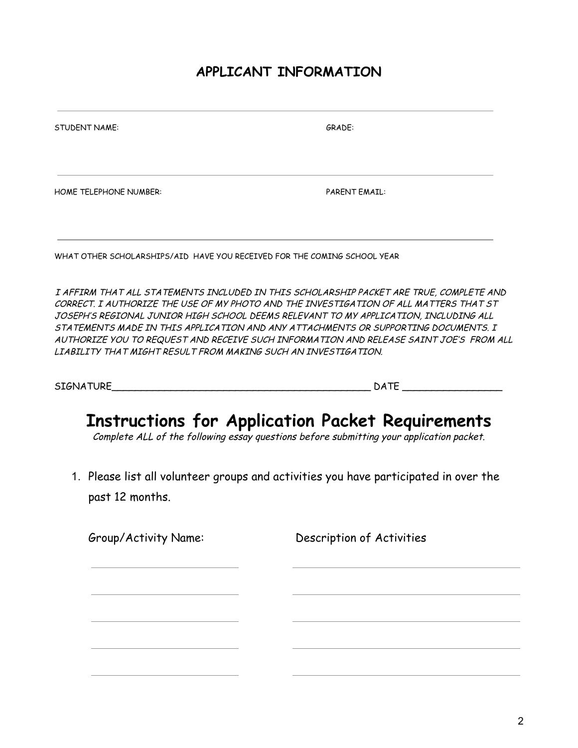## **APPLICANT INFORMATION**

| <b>STUDENT NAME:</b>                                                     | GRADE:               |
|--------------------------------------------------------------------------|----------------------|
| <b>HOME TELEPHONE NUMBER:</b>                                            | <b>PARENT EMAIL:</b> |
| WHAT OTHER SCHOLARSHIPS/AID HAVE YOU RECEIVED FOR THE COMING SCHOOL YEAR |                      |

I AFFIRM THAT ALL STATEMENTS INCLUDED IN THIS SCHOLARSHIP PACKET ARE TRUE, COMPLETE AND CORRECT. I AUTHORIZE THE USE OF MY PHOTO AND THE INVESTIGATION OF ALL MATTERS THAT ST JOSEPH'S REGIONAL JUNIOR HIGH SCHOOL DEEMS RELEVANT TO MY APPLICATION, INCLUDING ALL STATEMENTS MADE IN THIS APPLICATION AND ANY ATTACHMENTS OR SUPPORTING DOCUMENTS. I AUTHORIZE YOU TO REQUEST AND RECEIVE SUCH INFORMATION AND RELEASE SAINT JOE'S FROM ALL LIABILITY THAT MIGHT RESULT FROM MAKING SUCH AN INVESTIGATION.

SIGNATURE\_\_\_\_\_\_\_\_\_\_\_\_\_\_\_\_\_\_\_\_\_\_\_\_\_\_\_\_\_\_\_\_\_\_\_\_\_\_\_\_\_\_\_\_ DATE \_\_\_\_\_\_\_\_\_\_\_\_\_\_\_\_\_

## **Instructions for Application Packet Requirements**

Complete ALL of the following essay questions before submitting your application packet.

1. Please list all volunteer groups and activities you have participated in over the past 12 months.

Group/Activity Name: Description of Activities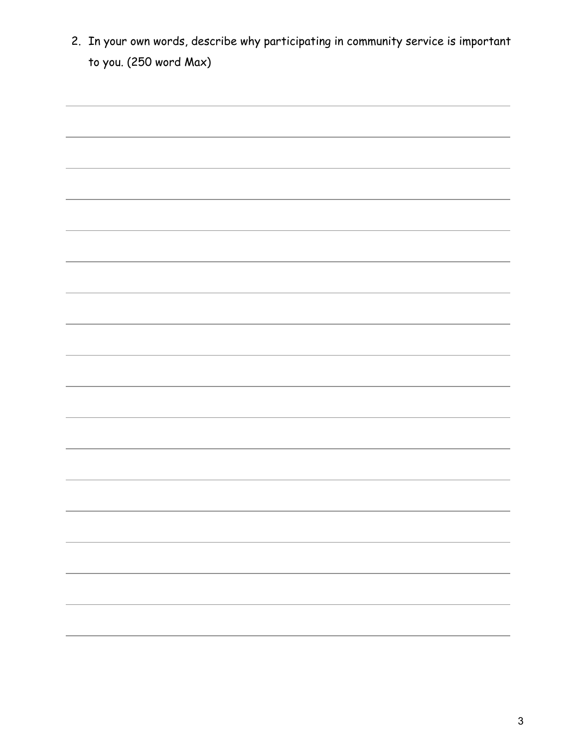2. In your own words, describe why participating in community service is important to you. (250 word Max)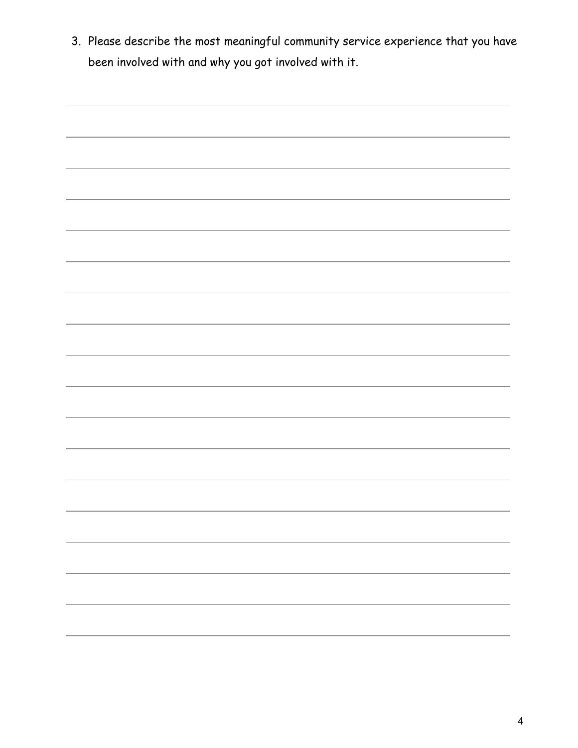3. Please describe the most meaningful community service experience that you have been involved with and why you got involved with it.